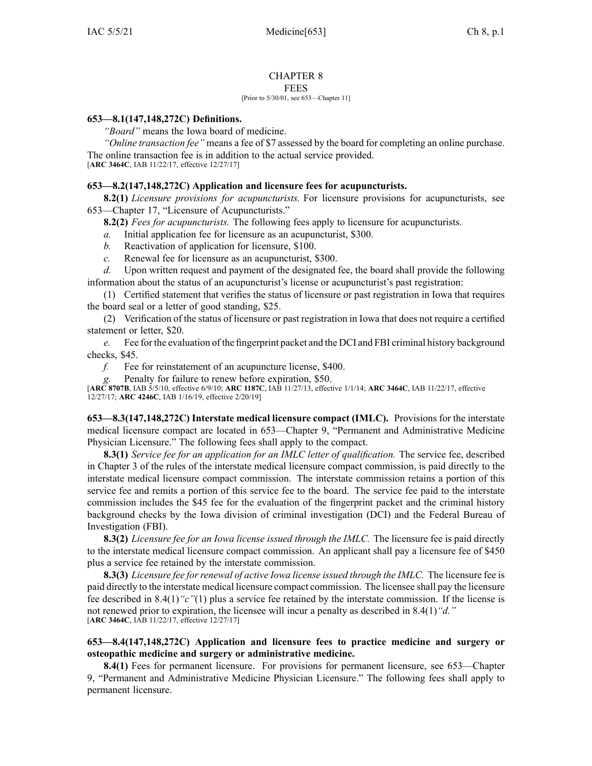#### CHAPTER 8 FEES

#### [Prior to 5/30/01, see 653—Chapter 11]

### **653—8.1(147,148,272C) Definitions.**

*"Board"* means the Iowa board of medicine.

*"Online transaction fee"* means <sup>a</sup> fee of \$7 assessed by the board for completing an online purchase. The online transaction fee is in addition to the actual service provided.

[**ARC [3464C](https://www.legis.iowa.gov/docs/aco/arc/3464C.pdf)**, IAB 11/22/17, effective 12/27/17]

### **653—8.2(147,148,272C) Application and licensure fees for acupuncturists.**

**8.2(1)** *Licensure provisions for acupuncturists.* For licensure provisions for acupuncturists, see [653—Chapter](https://www.legis.iowa.gov/docs/iac/chapter/653.17.pdf) 17, "Licensure of Acupuncturists."

**8.2(2)** *Fees for acupuncturists.* The following fees apply to licensure for acupuncturists.

*a.* Initial application fee for licensure as an acupuncturist, \$300.

- *b.* Reactivation of application for licensure, \$100.
- *c.* Renewal fee for licensure as an acupuncturist, \$300.

*d.* Upon written reques<sup>t</sup> and paymen<sup>t</sup> of the designated fee, the board shall provide the following information about the status of an acupuncturist's license or acupuncturist's pas<sup>t</sup> registration:

(1) Certified statement that verifies the status of licensure or pas<sup>t</sup> registration in Iowa that requires the board seal or <sup>a</sup> letter of good standing, \$25.

(2) Verification of the status of licensure or pas<sup>t</sup> registration in Iowa that does not require <sup>a</sup> certified statement or letter, \$20.

*e.* Fee for the evaluation of the fingerprint packet and the DCI and FBI criminal history background checks, \$45.

*f.* Fee for reinstatement of an acupuncture license, \$400.

*g.* Penalty for failure to renew before expiration, \$50.

[**ARC [8707B](https://www.legis.iowa.gov/docs/aco/arc/8707B.pdf)**, IAB 5/5/10, effective 6/9/10; **ARC [1187C](https://www.legis.iowa.gov/docs/aco/arc/1187C.pdf)**, IAB 11/27/13, effective 1/1/14; **ARC [3464C](https://www.legis.iowa.gov/docs/aco/arc/3464C.pdf)**, IAB 11/22/17, effective 12/27/17; **ARC [4246C](https://www.legis.iowa.gov/docs/aco/arc/4246C.pdf)**, IAB 1/16/19, effective 2/20/19]

**653—8.3(147,148,272C) Interstate medical licensure compac<sup>t</sup> (IMLC).** Provisions for the interstate medical licensure compac<sup>t</sup> are located in [653—Chapter](https://www.legis.iowa.gov/docs/iac/chapter/653.9.pdf) 9, "Permanent and Administrative Medicine Physician Licensure." The following fees shall apply to the compact.

**8.3(1)** *Service fee for an application for an IMLC letter of qualification.* The service fee, described in [Chapter](https://www.legis.iowa.gov/docs/iac/chapter/653.3.pdf) 3 of the rules of the interstate medical licensure compac<sup>t</sup> commission, is paid directly to the interstate medical licensure compac<sup>t</sup> commission. The interstate commission retains <sup>a</sup> portion of this service fee and remits <sup>a</sup> portion of this service fee to the board. The service fee paid to the interstate commission includes the \$45 fee for the evaluation of the fingerprint packet and the criminal history background checks by the Iowa division of criminal investigation (DCI) and the Federal Bureau of Investigation (FBI).

**8.3(2)** *Licensure fee for an Iowa license issued through the IMLC.* The licensure fee is paid directly to the interstate medical licensure compac<sup>t</sup> commission. An applicant shall pay <sup>a</sup> licensure fee of \$450 plus <sup>a</sup> service fee retained by the interstate commission.

**8.3(3)** *Licensure fee forrenewal of active Iowa license issued through the IMLC.* The licensure fee is paid directly to the interstate medical licensure compac<sup>t</sup> commission. The licensee shall pay the licensure fee described in [8.4\(1\)](https://www.legis.iowa.gov/docs/iac/rule/653.8.4.pdf)*"c"*(1) plus <sup>a</sup> service fee retained by the interstate commission. If the license is not renewed prior to expiration, the licensee will incur <sup>a</sup> penalty as described in [8.4\(1\)](https://www.legis.iowa.gov/docs/iac/rule/653.8.4.pdf)*"d."* [**ARC [3464C](https://www.legis.iowa.gov/docs/aco/arc/3464C.pdf)**, IAB 11/22/17, effective 12/27/17]

## **653—8.4(147,148,272C) Application and licensure fees to practice medicine and surgery or osteopathic medicine and surgery or administrative medicine.**

**8.4(1)** Fees for permanen<sup>t</sup> licensure. For provisions for permanen<sup>t</sup> licensure, see [653—Chapter](https://www.legis.iowa.gov/docs/iac/chapter/653.9.pdf) [9](https://www.legis.iowa.gov/docs/iac/chapter/653.9.pdf), "Permanent and Administrative Medicine Physician Licensure." The following fees shall apply to permanen<sup>t</sup> licensure.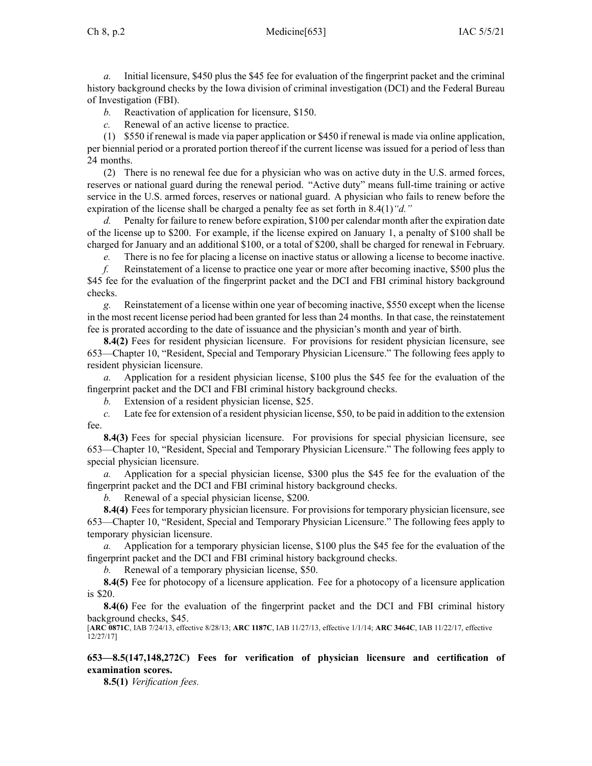*a.* Initial licensure, \$450 plus the \$45 fee for evaluation of the fingerprint packet and the criminal history background checks by the Iowa division of criminal investigation (DCI) and the Federal Bureau of Investigation (FBI).

*b.* Reactivation of application for licensure, \$150.

*c.* Renewal of an active license to practice.

(1) \$550 if renewal is made via paper application or \$450 if renewal is made via online application, per biennial period or <sup>a</sup> prorated portion thereof if the current license was issued for <sup>a</sup> period of less than 24 months.

(2) There is no renewal fee due for <sup>a</sup> physician who was on active duty in the U.S. armed forces, reserves or national guard during the renewal period. "Active duty" means full-time training or active service in the U.S. armed forces, reserves or national guard. A physician who fails to renew before the expiration of the license shall be charged <sup>a</sup> penalty fee as set forth in [8.4\(1\)](https://www.legis.iowa.gov/docs/iac/rule/653.8.4.pdf)*"d."*

*d.* Penalty for failure to renew before expiration, \$100 per calendar month after the expiration date of the license up to \$200. For example, if the license expired on January 1, <sup>a</sup> penalty of \$100 shall be charged for January and an additional \$100, or <sup>a</sup> total of \$200, shall be charged for renewal in February.

*e.* There is no fee for placing a license on inactive status or allowing a license to become inactive.

*f.* Reinstatement of <sup>a</sup> license to practice one year or more after becoming inactive, \$500 plus the \$45 fee for the evaluation of the fingerprint packet and the DCI and FBI criminal history background checks.

*g.* Reinstatement of <sup>a</sup> license within one year of becoming inactive, \$550 excep<sup>t</sup> when the license in the most recent license period had been granted for less than 24 months. In that case, the reinstatement fee is prorated according to the date of issuance and the physician's month and year of birth.

**8.4(2)** Fees for resident physician licensure. For provisions for resident physician licensure, see [653—Chapter](https://www.legis.iowa.gov/docs/iac/chapter/653.10.pdf) 10, "Resident, Special and Temporary Physician Licensure." The following fees apply to resident physician licensure.

*a.* Application for <sup>a</sup> resident physician license, \$100 plus the \$45 fee for the evaluation of the fingerprint packet and the DCI and FBI criminal history background checks.

*b.* Extension of <sup>a</sup> resident physician license, \$25.

*c.* Late fee for extension of <sup>a</sup> resident physician license, \$50, to be paid in addition to the extension fee.

**8.4(3)** Fees for special physician licensure. For provisions for special physician licensure, see [653—Chapter](https://www.legis.iowa.gov/docs/iac/chapter/653.10.pdf) 10, "Resident, Special and Temporary Physician Licensure." The following fees apply to special physician licensure.

*a.* Application for <sup>a</sup> special physician license, \$300 plus the \$45 fee for the evaluation of the fingerprint packet and the DCI and FBI criminal history background checks.

Renewal of a special physician license, \$200.

**8.4(4)** Fees for temporary physician licensure. For provisions for temporary physician licensure, see [653—Chapter](https://www.legis.iowa.gov/docs/iac/chapter/653.10.pdf) 10, "Resident, Special and Temporary Physician Licensure." The following fees apply to temporary physician licensure.

*a.* Application for <sup>a</sup> temporary physician license, \$100 plus the \$45 fee for the evaluation of the fingerprint packet and the DCI and FBI criminal history background checks.

*b.* Renewal of <sup>a</sup> temporary physician license, \$50.

**8.4(5)** Fee for photocopy of <sup>a</sup> licensure application. Fee for <sup>a</sup> photocopy of <sup>a</sup> licensure application is \$20.

**8.4(6)** Fee for the evaluation of the fingerprint packet and the DCI and FBI criminal history background checks, \$45.

[**ARC [0871C](https://www.legis.iowa.gov/docs/aco/arc/0871C.pdf)**, IAB 7/24/13, effective 8/28/13; **ARC [1187C](https://www.legis.iowa.gov/docs/aco/arc/1187C.pdf)**, IAB 11/27/13, effective 1/1/14; **ARC [3464C](https://www.legis.iowa.gov/docs/aco/arc/3464C.pdf)**, IAB 11/22/17, effective 12/27/17]

**653—8.5(147,148,272C) Fees for verification of physician licensure and certification of examination scores.**

**8.5(1)** *Verification fees.*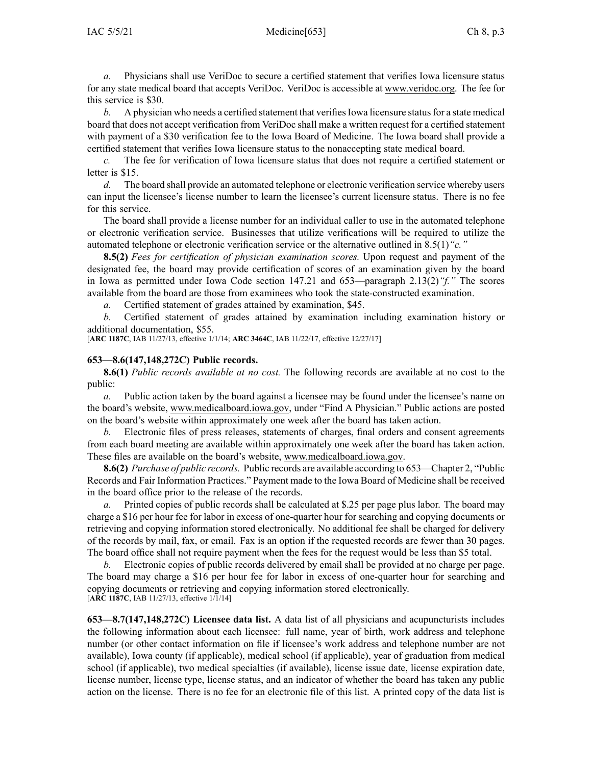*a.* Physicians shall use VeriDoc to secure <sup>a</sup> certified statement that verifies Iowa licensure status for any state medical board that accepts VeriDoc. VeriDoc is accessible at [www.veridoc.org](http://www.veridoc.org). The fee for this service is \$30.

*b.* A physician who needs a certified statement that verifies Iowa licensure status for a state medical board that does not accep<sup>t</sup> verification from VeriDoc shall make <sup>a</sup> written reques<sup>t</sup> for <sup>a</sup> certified statement with paymen<sup>t</sup> of <sup>a</sup> \$30 verification fee to the Iowa Board of Medicine. The Iowa board shall provide <sup>a</sup> certified statement that verifies Iowa licensure status to the nonaccepting state medical board.

*c.* The fee for verification of Iowa licensure status that does not require <sup>a</sup> certified statement or letter is \$15.

*d.* The board shall provide an automated telephone or electronic verification service whereby users can input the licensee's license number to learn the licensee's current licensure status. There is no fee for this service.

The board shall provide <sup>a</sup> license number for an individual caller to use in the automated telephone or electronic verification service. Businesses that utilize verifications will be required to utilize the automated telephone or electronic verification service or the alternative outlined in [8.5\(1\)](https://www.legis.iowa.gov/docs/iac/rule/653.8.5.pdf)*"c."*

**8.5(2)** *Fees for certification of physician examination scores.* Upon reques<sup>t</sup> and paymen<sup>t</sup> of the designated fee, the board may provide certification of scores of an examination given by the board in Iowa as permitted under Iowa Code section [147.21](https://www.legis.iowa.gov/docs/ico/section/147.21.pdf) and [653—paragraph](https://www.legis.iowa.gov/docs/iac/rule/653.2.13.pdf) 2.13(2)*"f."* The scores available from the board are those from examinees who took the state-constructed examination.

*a.* Certified statement of grades attained by examination, \$45.

*b.* Certified statement of grades attained by examination including examination history or additional documentation, \$55.

[**ARC [1187C](https://www.legis.iowa.gov/docs/aco/arc/1187C.pdf)**, IAB 11/27/13, effective 1/1/14; **ARC [3464C](https://www.legis.iowa.gov/docs/aco/arc/3464C.pdf)**, IAB 11/22/17, effective 12/27/17]

#### **653—8.6(147,148,272C) Public records.**

**8.6(1)** *Public records available at no cost.* The following records are available at no cost to the public:

*a.* Public action taken by the board against <sup>a</sup> licensee may be found under the licensee's name on the board's website, [www.medicalboard.iowa.gov](http://www.medicalboard.iowa.gov), under "Find A Physician." Public actions are posted on the board's website within approximately one week after the board has taken action.

*b.* Electronic files of press releases, statements of charges, final orders and consent agreements from each board meeting are available within approximately one week after the board has taken action. These files are available on the board's website, [www.medicalboard.iowa.gov](http://www.medicalboard.iowa.gov).

**8.6(2)** *Purchase of public records.* Public records are available according to [653—Chapter](https://www.legis.iowa.gov/docs/iac/chapter/653.2.pdf) 2, "Public Records and Fair Information Practices." Payment made to the Iowa Board of Medicine shall be received in the board office prior to the release of the records.

Printed copies of public records shall be calculated at \$.25 per page plus labor. The board may charge <sup>a</sup> \$16 per hour fee for labor in excess of one-quarter hour for searching and copying documents or retrieving and copying information stored electronically. No additional fee shall be charged for delivery of the records by mail, fax, or email. Fax is an option if the requested records are fewer than 30 pages. The board office shall not require paymen<sup>t</sup> when the fees for the reques<sup>t</sup> would be less than \$5 total.

*b.* Electronic copies of public records delivered by email shall be provided at no charge per page. The board may charge <sup>a</sup> \$16 per hour fee for labor in excess of one-quarter hour for searching and copying documents or retrieving and copying information stored electronically. [**ARC [1187C](https://www.legis.iowa.gov/docs/aco/arc/1187C.pdf)**, IAB 11/27/13, effective 1/1/14]

**653—8.7(147,148,272C) Licensee data list.** A data list of all physicians and acupuncturists includes the following information about each licensee: full name, year of birth, work address and telephone number (or other contact information on file if licensee's work address and telephone number are not available), Iowa county (if applicable), medical school (if applicable), year of graduation from medical school (if applicable), two medical specialties (if available), license issue date, license expiration date, license number, license type, license status, and an indicator of whether the board has taken any public action on the license. There is no fee for an electronic file of this list. A printed copy of the data list is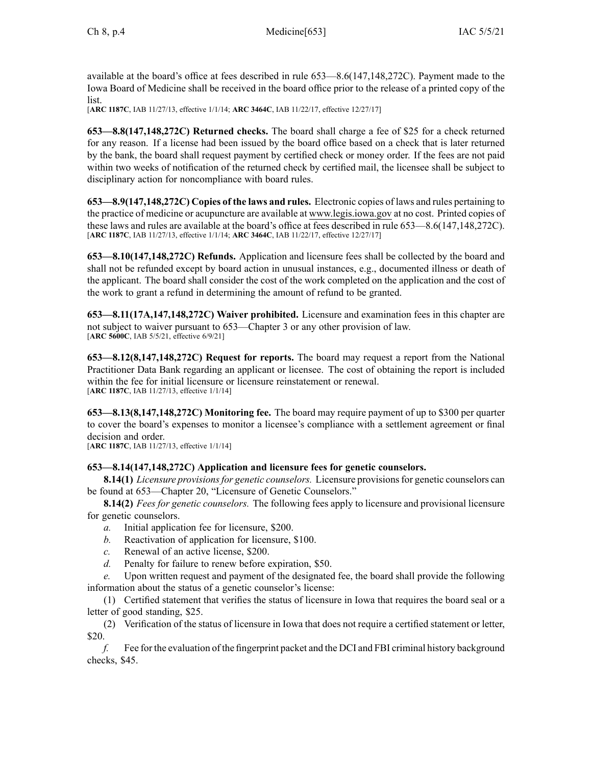available at the board's office at fees described in rule [653—8.6](https://www.legis.iowa.gov/docs/iac/rule/653.8.6.pdf)(147,148,272C). Payment made to the Iowa Board of Medicine shall be received in the board office prior to the release of <sup>a</sup> printed copy of the list.

[**ARC [1187C](https://www.legis.iowa.gov/docs/aco/arc/1187C.pdf)**, IAB 11/27/13, effective 1/1/14; **ARC [3464C](https://www.legis.iowa.gov/docs/aco/arc/3464C.pdf)**, IAB 11/22/17, effective 12/27/17]

**653—8.8(147,148,272C) Returned checks.** The board shall charge <sup>a</sup> fee of \$25 for <sup>a</sup> check returned for any reason. If <sup>a</sup> license had been issued by the board office based on <sup>a</sup> check that is later returned by the bank, the board shall reques<sup>t</sup> paymen<sup>t</sup> by certified check or money order. If the fees are not paid within two weeks of notification of the returned check by certified mail, the licensee shall be subject to disciplinary action for noncompliance with board rules.

**653—8.9(147,148,272C) Copies of the laws and rules.** Electronic copies of laws and rules pertaining to the practice of medicine or acupuncture are available at [www.legis.iowa.gov](http://www.legis.iowa.gov) at no cost. Printed copies of these laws and rules are available at the board's office at fees described in rule [653—8.6](https://www.legis.iowa.gov/docs/iac/rule/653.8.6.pdf)(147,148,272C). [**ARC [1187C](https://www.legis.iowa.gov/docs/aco/arc/1187C.pdf)**, IAB 11/27/13, effective 1/1/14; **ARC [3464C](https://www.legis.iowa.gov/docs/aco/arc/3464C.pdf)**, IAB 11/22/17, effective 12/27/17]

**653—8.10(147,148,272C) Refunds.** Application and licensure fees shall be collected by the board and shall not be refunded excep<sup>t</sup> by board action in unusual instances, e.g., documented illness or death of the applicant. The board shall consider the cost of the work completed on the application and the cost of the work to gran<sup>t</sup> <sup>a</sup> refund in determining the amount of refund to be granted.

**653—8.11(17A,147,148,272C) Waiver prohibited.** Licensure and examination fees in this chapter are not subject to waiver pursuan<sup>t</sup> to [653—Chapter](https://www.legis.iowa.gov/docs/iac/chapter/653.3.pdf) 3 or any other provision of law. [**ARC [5600C](https://www.legis.iowa.gov/docs/aco/arc/5600C.pdf)**, IAB 5/5/21, effective 6/9/21]

**653—8.12(8,147,148,272C) Request for reports.** The board may reques<sup>t</sup> <sup>a</sup> repor<sup>t</sup> from the National Practitioner Data Bank regarding an applicant or licensee. The cost of obtaining the repor<sup>t</sup> is included within the fee for initial licensure or licensure reinstatement or renewal. [**ARC [1187C](https://www.legis.iowa.gov/docs/aco/arc/1187C.pdf)**, IAB 11/27/13, effective 1/1/14]

**653—8.13(8,147,148,272C) Monitoring fee.** The board may require paymen<sup>t</sup> of up to \$300 per quarter to cover the board's expenses to monitor <sup>a</sup> licensee's compliance with <sup>a</sup> settlement agreemen<sup>t</sup> or final decision and order.

[**ARC [1187C](https://www.legis.iowa.gov/docs/aco/arc/1187C.pdf)**, IAB 11/27/13, effective 1/1/14]

# **653—8.14(147,148,272C) Application and licensure fees for genetic counselors.**

**8.14(1)** *Licensure provisionsfor genetic counselors.* Licensure provisionsfor genetic counselors can be found at 653—Chapter 20, "Licensure of Genetic Counselors."

**8.14(2)** *Fees for genetic counselors.* The following fees apply to licensure and provisional licensure for genetic counselors.

- *a.* Initial application fee for licensure, \$200.
- *b.* Reactivation of application for licensure, \$100.
- *c.* Renewal of an active license, \$200.
- *d.* Penalty for failure to renew before expiration, \$50.

*e.* Upon written reques<sup>t</sup> and paymen<sup>t</sup> of the designated fee, the board shall provide the following information about the status of <sup>a</sup> genetic counselor's license:

(1) Certified statement that verifies the status of licensure in Iowa that requires the board seal or <sup>a</sup> letter of good standing, \$25.

(2) Verification of the status of licensure in Iowa that does not require <sup>a</sup> certified statement or letter, \$20.

*f.* Fee for the evaluation of the fingerprint packet and the DCI and FBI criminal history background checks, \$45.